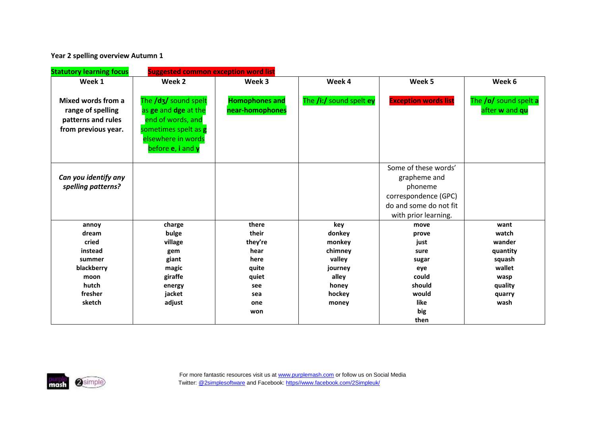**Year 2 spelling overview Autumn 1** 

| <b>Statutory learning focus</b>                                                      | <b>Suggested common exception word list</b>                                                                                                  |                                          |                         |                                                                                                                           |                                         |
|--------------------------------------------------------------------------------------|----------------------------------------------------------------------------------------------------------------------------------------------|------------------------------------------|-------------------------|---------------------------------------------------------------------------------------------------------------------------|-----------------------------------------|
| Week 1                                                                               | Week 2                                                                                                                                       | Week 3                                   | Week 4                  | Week 5                                                                                                                    | Week 6                                  |
| Mixed words from a<br>range of spelling<br>patterns and rules<br>from previous year. | The /d3/ sound spelt<br>as ge and dge at the<br>end of words, and<br>sometimes spelt as g<br>elsewhere in words<br>before <b>e</b> , i and y | <b>Homophones and</b><br>near-homophones | The /i:/ sound spelt ey | <b>Exception words list</b>                                                                                               | The /p/ sound spelt a<br>after w and qu |
| Can you identify any<br>spelling patterns?                                           |                                                                                                                                              |                                          |                         | Some of these words'<br>grapheme and<br>phoneme<br>correspondence (GPC)<br>do and some do not fit<br>with prior learning. |                                         |
| annoy                                                                                | charge                                                                                                                                       | there                                    | key                     | move                                                                                                                      | want                                    |
| dream                                                                                | bulge                                                                                                                                        | their                                    | donkey                  | prove                                                                                                                     | watch                                   |
| cried                                                                                | village                                                                                                                                      | they're                                  | monkey                  | just                                                                                                                      | wander                                  |
| instead                                                                              | gem                                                                                                                                          | hear                                     | chimney                 | sure                                                                                                                      | quantity                                |
| summer                                                                               | giant                                                                                                                                        | here                                     | valley                  | sugar                                                                                                                     | squash                                  |
| blackberry                                                                           | magic                                                                                                                                        | quite                                    | journey                 | eye                                                                                                                       | wallet                                  |
| moon                                                                                 | giraffe                                                                                                                                      | quiet                                    | alley                   | could                                                                                                                     | wasp                                    |
| hutch                                                                                | energy                                                                                                                                       | see                                      | honey                   | should                                                                                                                    | quality                                 |
| fresher                                                                              | jacket                                                                                                                                       | sea                                      | hockey                  | would                                                                                                                     | quarry                                  |
| sketch                                                                               | adjust                                                                                                                                       | one                                      | money                   | like                                                                                                                      | wash                                    |
|                                                                                      |                                                                                                                                              | won                                      |                         | big                                                                                                                       |                                         |
|                                                                                      |                                                                                                                                              |                                          |                         | then                                                                                                                      |                                         |

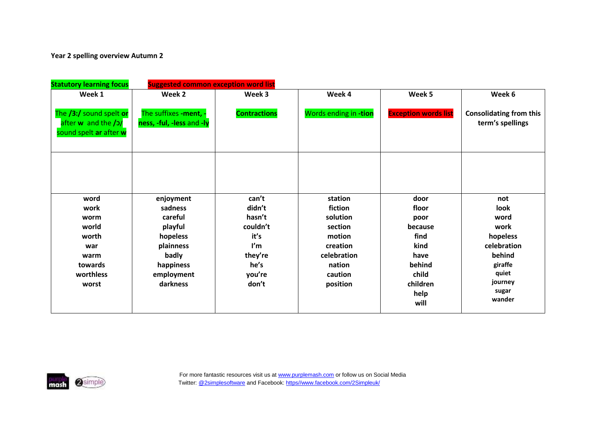## **Year 2 spelling overview Autumn 2**

| <b>Statutory learning focus</b>                                          | <b>Suggested common exception word list</b>        |                     |                       |                             |                                                    |  |  |
|--------------------------------------------------------------------------|----------------------------------------------------|---------------------|-----------------------|-----------------------------|----------------------------------------------------|--|--|
| Week 1                                                                   | Week 2                                             | Week 3              | Week 4                | Week 5                      | Week 6                                             |  |  |
| The /3:/ sound spelt or<br>after w and the /o/<br>sound spelt ar after w | The suffixes -ment, -<br>ness, -ful, -less and -ly | <b>Contractions</b> | Words ending in -tion | <b>Exception words list</b> | <b>Consolidating from this</b><br>term's spellings |  |  |
|                                                                          |                                                    |                     |                       |                             |                                                    |  |  |
| word                                                                     | enjoyment                                          | can't               | station               | door                        | not                                                |  |  |
| work                                                                     | sadness                                            | didn't              | fiction               | floor                       | look                                               |  |  |
| worm                                                                     | careful                                            | hasn't              | solution              | poor                        | word                                               |  |  |
| world                                                                    | playful                                            | couldn't            | section               | because                     | work                                               |  |  |
| worth                                                                    | hopeless                                           | it's                | motion                | find                        | hopeless                                           |  |  |
| war                                                                      | plainness                                          | I'm                 | creation              | kind                        | celebration                                        |  |  |
| warm                                                                     | badly                                              | they're             | celebration           | have                        | behind                                             |  |  |
| towards                                                                  | happiness                                          | he's                | nation                | behind                      | giraffe                                            |  |  |
| worthless                                                                | employment                                         | you're              | caution               | child                       | quiet                                              |  |  |
| worst                                                                    | darkness                                           | don't               | position              | children                    | journey                                            |  |  |
|                                                                          |                                                    |                     |                       | help<br>will                | sugar<br>wander                                    |  |  |
|                                                                          |                                                    |                     |                       |                             |                                                    |  |  |

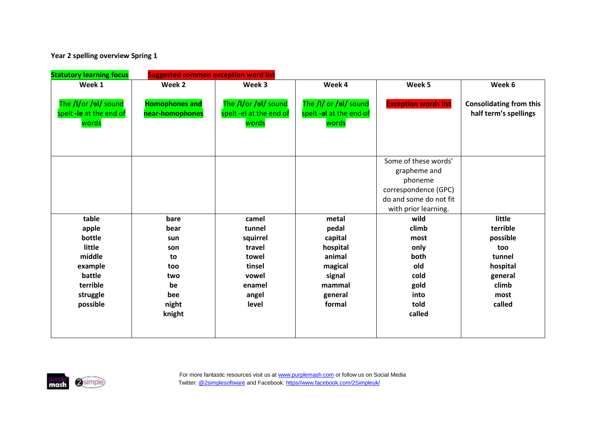**Year 2 spelling overview Spring 1**

| <b>Statutory learning focus</b>                          | <b>Suggested common exception word list</b> |                                                          |                                                           |                                                                                                                           |                                                         |  |  |
|----------------------------------------------------------|---------------------------------------------|----------------------------------------------------------|-----------------------------------------------------------|---------------------------------------------------------------------------------------------------------------------------|---------------------------------------------------------|--|--|
| Week 1                                                   | Week 2                                      | Week 3                                                   | Week 4                                                    | Week 5                                                                                                                    | Week 6                                                  |  |  |
| The /I/or /sl/ sound<br>spelt -le at the end of<br>words | <b>Homophones and</b><br>near-homophones    | The /I/or /sl/ sound<br>spelt -el at the end of<br>words | The /I/ or /ol/ sound<br>spelt -al at the end of<br>words | <b>Exception words list</b>                                                                                               | <b>Consolidating from this</b><br>half term's spellings |  |  |
|                                                          |                                             |                                                          |                                                           | Some of these words'<br>grapheme and<br>phoneme<br>correspondence (GPC)<br>do and some do not fit<br>with prior learning. |                                                         |  |  |
| table                                                    | bare                                        | camel                                                    | metal                                                     | wild                                                                                                                      | little                                                  |  |  |
| apple                                                    | bear                                        | tunnel                                                   | pedal                                                     | climb                                                                                                                     | terrible                                                |  |  |
| bottle                                                   | sun                                         | squirrel                                                 | capital                                                   | most                                                                                                                      | possible                                                |  |  |
| little                                                   | son                                         | travel                                                   | hospital                                                  | only                                                                                                                      | too                                                     |  |  |
| middle                                                   | to                                          | towel                                                    | animal                                                    | both                                                                                                                      | tunnel                                                  |  |  |
| example                                                  | too                                         | tinsel                                                   | magical                                                   | old                                                                                                                       | hospital                                                |  |  |
| battle                                                   | two                                         | vowel                                                    | signal                                                    | cold                                                                                                                      | general                                                 |  |  |
| terrible                                                 | be                                          | enamel                                                   | mammal                                                    | gold                                                                                                                      | climb                                                   |  |  |
| struggle                                                 | bee                                         | angel                                                    | general                                                   | into                                                                                                                      | most                                                    |  |  |
| possible                                                 | night                                       | level                                                    | formal                                                    | told                                                                                                                      | called                                                  |  |  |
|                                                          | knight                                      |                                                          |                                                           | called                                                                                                                    |                                                         |  |  |
|                                                          |                                             |                                                          |                                                           |                                                                                                                           |                                                         |  |  |

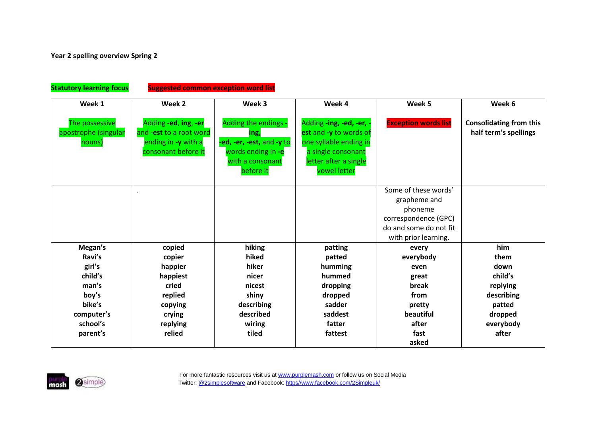| <b>Statutory learning focus</b><br><b>Suggested common exception word list</b> |                                                                                               |                                                                                                                  |                                                                                                                                             |                                                                                                                           |                                                         |  |  |
|--------------------------------------------------------------------------------|-----------------------------------------------------------------------------------------------|------------------------------------------------------------------------------------------------------------------|---------------------------------------------------------------------------------------------------------------------------------------------|---------------------------------------------------------------------------------------------------------------------------|---------------------------------------------------------|--|--|
| Week 1                                                                         | Week 2                                                                                        | Week 3                                                                                                           | Week 4                                                                                                                                      | Week 5                                                                                                                    | Week 6                                                  |  |  |
| The possessive<br>apostrophe (singular<br>nouns)                               | Adding -ed, ing, -er<br>and -est to a root word<br>ending in -y with a<br>consonant before it | Adding the endings -<br>ing,<br>-ed, -er, -est, and -y to<br>words ending in -e<br>with a consonant<br>before it | Adding -ing, -ed, -er, -<br>est and -y to words of<br>one syllable ending in<br>a single consonant<br>letter after a single<br>vowel letter | <b>Exception words list</b>                                                                                               | <b>Consolidating from this</b><br>half term's spellings |  |  |
|                                                                                |                                                                                               |                                                                                                                  |                                                                                                                                             | Some of these words'<br>grapheme and<br>phoneme<br>correspondence (GPC)<br>do and some do not fit<br>with prior learning. |                                                         |  |  |
| Megan's                                                                        | copied                                                                                        | hiking                                                                                                           | patting                                                                                                                                     | every                                                                                                                     | him                                                     |  |  |
| Ravi's                                                                         | copier                                                                                        | hiked                                                                                                            | patted                                                                                                                                      | everybody                                                                                                                 | them                                                    |  |  |
| girl's                                                                         | happier                                                                                       | hiker                                                                                                            | humming                                                                                                                                     | even                                                                                                                      | down                                                    |  |  |
| child's                                                                        | happiest                                                                                      | nicer                                                                                                            | hummed                                                                                                                                      | great                                                                                                                     | child's                                                 |  |  |
| man's                                                                          | cried                                                                                         | nicest                                                                                                           | dropping                                                                                                                                    | break                                                                                                                     | replying                                                |  |  |
| boy's                                                                          | replied                                                                                       | shiny                                                                                                            | dropped                                                                                                                                     | from                                                                                                                      | describing                                              |  |  |
| bike's                                                                         | copying                                                                                       | describing                                                                                                       | sadder                                                                                                                                      | pretty                                                                                                                    | patted                                                  |  |  |
| computer's                                                                     | crying                                                                                        | described                                                                                                        | saddest                                                                                                                                     | beautiful                                                                                                                 | dropped                                                 |  |  |
| school's                                                                       | replying                                                                                      | wiring                                                                                                           | fatter                                                                                                                                      | after                                                                                                                     | everybody                                               |  |  |
| parent's                                                                       | relied                                                                                        | tiled                                                                                                            | fattest                                                                                                                                     | fast                                                                                                                      | after                                                   |  |  |
|                                                                                |                                                                                               |                                                                                                                  |                                                                                                                                             | asked                                                                                                                     |                                                         |  |  |

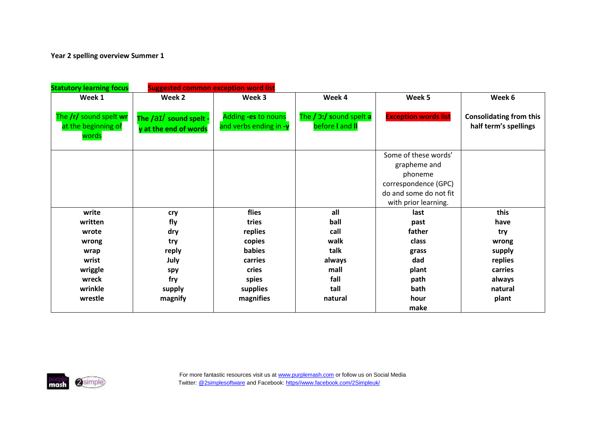**Year 2 spelling overview Summer 1** 

| <b>Statutory learning focus</b>                        | <b>Suggested common exception word list</b>     |                                               |                                                   |                                                                                                                           |                                                         |  |  |
|--------------------------------------------------------|-------------------------------------------------|-----------------------------------------------|---------------------------------------------------|---------------------------------------------------------------------------------------------------------------------------|---------------------------------------------------------|--|--|
| Week 1                                                 | Week 2                                          | Week 3                                        | Week 4                                            | Week 5                                                                                                                    | Week 6                                                  |  |  |
| The /r/ sound spelt wr<br>at the beginning of<br>words | The /aI/ sound spelt -<br>y at the end of words | Adding -es to nouns<br>and verbs ending in -y | The / <b>3:/ sound spelt a</b><br>before I and II | <b>Exception words list</b>                                                                                               | <b>Consolidating from this</b><br>half term's spellings |  |  |
|                                                        |                                                 |                                               |                                                   | Some of these words'<br>grapheme and<br>phoneme<br>correspondence (GPC)<br>do and some do not fit<br>with prior learning. |                                                         |  |  |
| write                                                  | cry                                             | flies                                         | all                                               | last                                                                                                                      | this                                                    |  |  |
| written                                                | fly                                             | tries                                         | ball                                              | past                                                                                                                      | have                                                    |  |  |
| wrote                                                  | dry                                             | replies                                       | call                                              | father                                                                                                                    | try                                                     |  |  |
| wrong                                                  | try                                             | copies                                        | walk                                              | class                                                                                                                     | wrong                                                   |  |  |
| wrap                                                   | reply                                           | babies                                        | talk                                              | grass                                                                                                                     | supply                                                  |  |  |
| wrist                                                  | July                                            | carries                                       | always                                            | dad                                                                                                                       | replies                                                 |  |  |
| wriggle                                                | spy                                             | cries                                         | mall                                              | plant                                                                                                                     | carries                                                 |  |  |
| wreck                                                  | fry                                             | spies                                         | fall                                              | path                                                                                                                      | always                                                  |  |  |
| wrinkle                                                | supply                                          | supplies                                      | tall                                              | bath                                                                                                                      | natural                                                 |  |  |
| wrestle                                                | magnify                                         | magnifies                                     | natural                                           | hour<br>make                                                                                                              | plant                                                   |  |  |